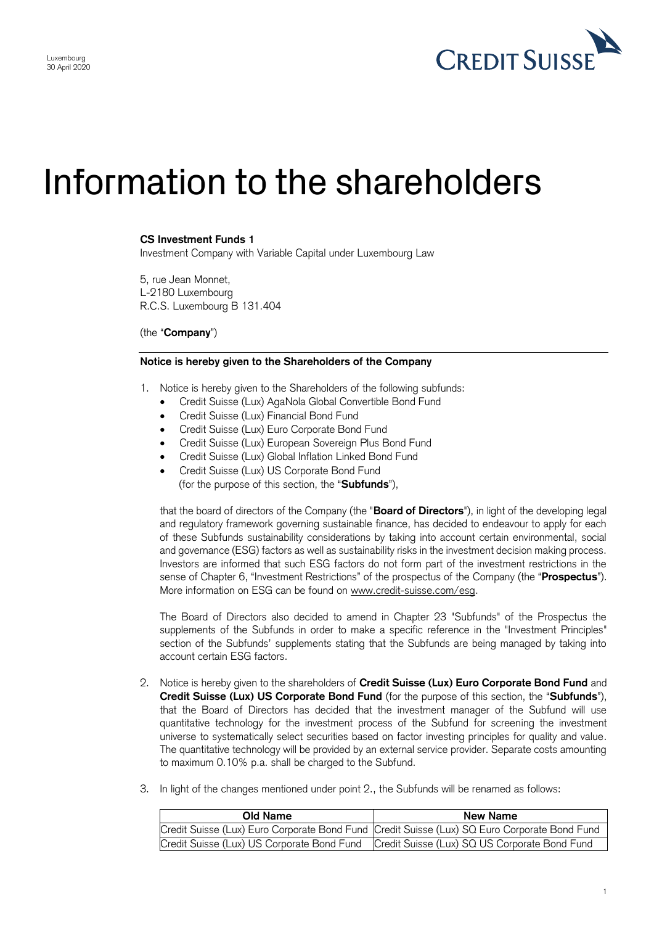

## Information to the shareholders

## **CS Investment Funds 1**

Investment Company with Variable Capital under Luxembourg Law

5, rue Jean Monnet, L-2180 Luxembourg R.C.S. Luxembourg B 131.404

(the "**Company**")

## **Notice is hereby given to the Shareholders of the Company**

- 1. Notice is hereby given to the Shareholders of the following subfunds:
	- Credit Suisse (Lux) AgaNola Global Convertible Bond Fund
	- Credit Suisse (Lux) Financial Bond Fund
	- Credit Suisse (Lux) Euro Corporate Bond Fund
	- Credit Suisse (Lux) European Sovereign Plus Bond Fund
	- Credit Suisse (Lux) Global Inflation Linked Bond Fund
	- Credit Suisse (Lux) US Corporate Bond Fund (for the purpose of this section, the "**Subfunds**"),

that the board of directors of the Company (the "**Board of Directors**"), in light of the developing legal and regulatory framework governing sustainable finance, has decided to endeavour to apply for each of these Subfunds sustainability considerations by taking into account certain environmental, social and governance (ESG) factors as well as sustainability risks in the investment decision making process. Investors are informed that such ESG factors do not form part of the investment restrictions in the sense of Chapter 6, "Investment Restrictions" of the prospectus of the Company (the "**Prospectus**"). More information on ESG can be found on www.credit-suisse.com/esg.

The Board of Directors also decided to amend in Chapter 23 "Subfunds" of the Prospectus the supplements of the Subfunds in order to make a specific reference in the "Investment Principles" section of the Subfunds' supplements stating that the Subfunds are being managed by taking into account certain ESG factors.

- 2. Notice is hereby given to the shareholders of **Credit Suisse (Lux) Euro Corporate Bond Fund** and **Credit Suisse (Lux) US Corporate Bond Fund** (for the purpose of this section, the "**Subfunds**"), that the Board of Directors has decided that the investment manager of the Subfund will use quantitative technology for the investment process of the Subfund for screening the investment universe to systematically select securities based on factor investing principles for quality and value. The quantitative technology will be provided by an external service provider. Separate costs amounting to maximum 0.10% p.a. shall be charged to the Subfund.
- 3. In light of the changes mentioned under point 2., the Subfunds will be renamed as follows:

| Old Name                                   | New Name                                                                                     |
|--------------------------------------------|----------------------------------------------------------------------------------------------|
|                                            | Credit Suisse (Lux) Euro Corporate Bond Fund Credit Suisse (Lux) SQ Euro Corporate Bond Fund |
| Credit Suisse (Lux) US Corporate Bond Fund | Credit Suisse (Lux) SQ US Corporate Bond Fund                                                |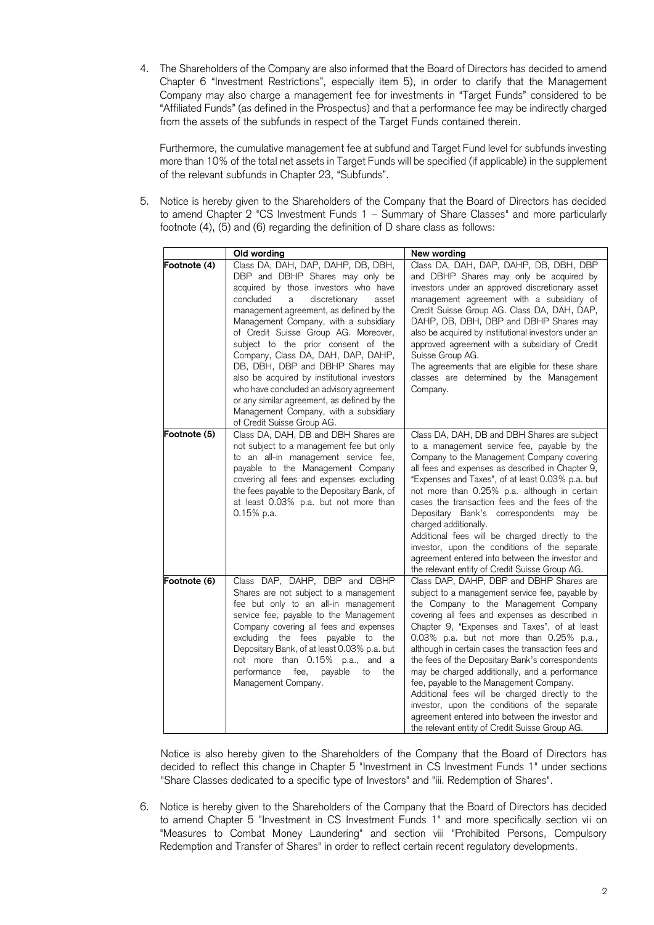4. The Shareholders of the Company are also informed that the Board of Directors has decided to amend Chapter 6 "Investment Restrictions", especially item 5), in order to clarify that the Management Company may also charge a management fee for investments in "Target Funds" considered to be "Affiliated Funds" (as defined in the Prospectus) and that a performance fee may be indirectly charged from the assets of the subfunds in respect of the Target Funds contained therein.

Furthermore, the cumulative management fee at subfund and Target Fund level for subfunds investing more than 10% of the total net assets in Target Funds will be specified (if applicable) in the supplement of the relevant subfunds in Chapter 23, "Subfunds".

5. Notice is hereby given to the Shareholders of the Company that the Board of Directors has decided to amend Chapter 2 "CS Investment Funds 1 – Summary of Share Classes" and more particularly footnote (4), (5) and (6) regarding the definition of D share class as follows:

|              | Old wording                                                                                                                                                                                                                                                                                                                                                                                                                                                                                                                                                                                                             | New wording                                                                                                                                                                                                                                                                                                                                                                                                                                                                                                                                                                                                                                                                                        |
|--------------|-------------------------------------------------------------------------------------------------------------------------------------------------------------------------------------------------------------------------------------------------------------------------------------------------------------------------------------------------------------------------------------------------------------------------------------------------------------------------------------------------------------------------------------------------------------------------------------------------------------------------|----------------------------------------------------------------------------------------------------------------------------------------------------------------------------------------------------------------------------------------------------------------------------------------------------------------------------------------------------------------------------------------------------------------------------------------------------------------------------------------------------------------------------------------------------------------------------------------------------------------------------------------------------------------------------------------------------|
| Footnote (4) | Class DA, DAH, DAP, DAHP, DB, DBH,<br>DBP and DBHP Shares may only be<br>acquired by those investors who have<br>concluded<br>discretionary<br>asset<br>a<br>management agreement, as defined by the<br>Management Company, with a subsidiary<br>of Credit Suisse Group AG. Moreover,<br>subject to the prior consent of the<br>Company, Class DA, DAH, DAP, DAHP,<br>DB, DBH, DBP and DBHP Shares may<br>also be acquired by institutional investors<br>who have concluded an advisory agreement<br>or any similar agreement, as defined by the<br>Management Company, with a subsidiary<br>of Credit Suisse Group AG. | Class DA, DAH, DAP, DAHP, DB, DBH, DBP<br>and DBHP Shares may only be acquired by<br>investors under an approved discretionary asset<br>management agreement with a subsidiary of<br>Credit Suisse Group AG. Class DA, DAH, DAP,<br>DAHP, DB, DBH, DBP and DBHP Shares may<br>also be acquired by institutional investors under an<br>approved agreement with a subsidiary of Credit<br>Suisse Group AG.<br>The agreements that are eligible for these share<br>classes are determined by the Management<br>Company.                                                                                                                                                                               |
| Footnote (5) | Class DA, DAH, DB and DBH Shares are<br>not subject to a management fee but only<br>to an all-in management service fee,<br>payable to the Management Company<br>covering all fees and expenses excluding<br>the fees payable to the Depositary Bank, of<br>at least 0.03% p.a. but not more than<br>$0.15%$ p.a.                                                                                                                                                                                                                                                                                                       | Class DA, DAH, DB and DBH Shares are subject<br>to a management service fee, payable by the<br>Company to the Management Company covering<br>all fees and expenses as described in Chapter 9,<br>"Expenses and Taxes", of at least 0.03% p.a. but<br>not more than 0.25% p.a. although in certain<br>cases the transaction fees and the fees of the<br>Depositary Bank's correspondents may be<br>charged additionally.<br>Additional fees will be charged directly to the<br>investor, upon the conditions of the separate<br>agreement entered into between the investor and<br>the relevant entity of Credit Suisse Group AG.                                                                   |
| Footnote (6) | Class DAP, DAHP, DBP and DBHP<br>Shares are not subject to a management<br>fee but only to an all-in management<br>service fee, payable to the Management<br>Company covering all fees and expenses<br>excluding the fees payable to the<br>Depositary Bank, of at least 0.03% p.a. but<br>not more than 0.15% p.a., and a<br>performance<br>fee,<br>payable<br>to<br>the<br>Management Company.                                                                                                                                                                                                                        | Class DAP, DAHP, DBP and DBHP Shares are<br>subject to a management service fee, payable by<br>the Company to the Management Company<br>covering all fees and expenses as described in<br>Chapter 9, "Expenses and Taxes", of at least<br>0.03% p.a. but not more than 0.25% p.a.,<br>although in certain cases the transaction fees and<br>the fees of the Depositary Bank's correspondents<br>may be charged additionally, and a performance<br>fee, payable to the Management Company.<br>Additional fees will be charged directly to the<br>investor, upon the conditions of the separate<br>agreement entered into between the investor and<br>the relevant entity of Credit Suisse Group AG. |

Notice is also hereby given to the Shareholders of the Company that the Board of Directors has decided to reflect this change in Chapter 5 "Investment in CS Investment Funds 1" under sections "Share Classes dedicated to a specific type of Investors" and "iii. Redemption of Shares".

6. Notice is hereby given to the Shareholders of the Company that the Board of Directors has decided to amend Chapter 5 "Investment in CS Investment Funds 1" and more specifically section vii on "Measures to Combat Money Laundering" and section viii "Prohibited Persons, Compulsory Redemption and Transfer of Shares" in order to reflect certain recent regulatory developments.